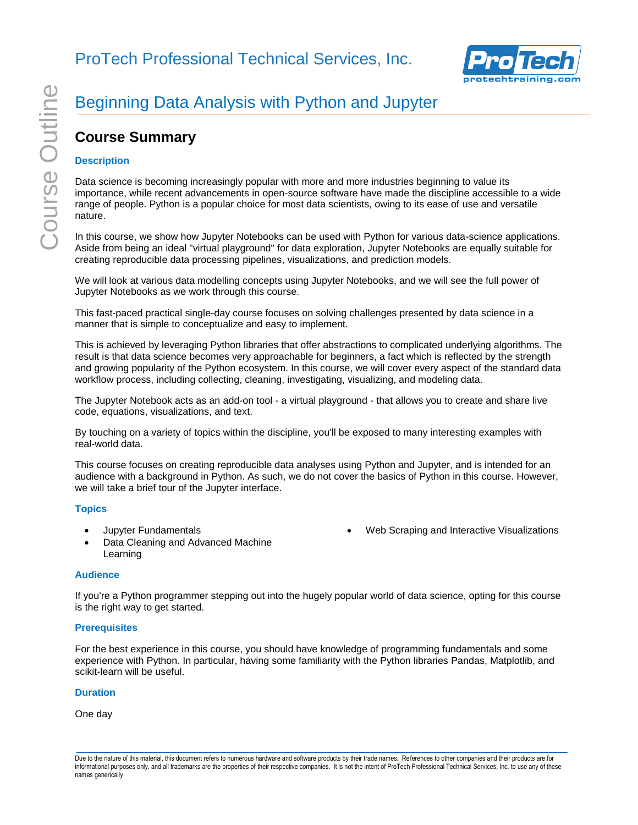

Web Scraping and Interactive Visualizations

# Beginning Data Analysis with Python and Jupyter

# **Course Summary**

## **Description**

Data science is becoming increasingly popular with more and more industries beginning to value its importance, while recent advancements in open-source software have made the discipline accessible to a wide range of people. Python is a popular choice for most data scientists, owing to its ease of use and versatile nature.

In this course, we show how Jupyter Notebooks can be used with Python for various data-science applications. Aside from being an ideal "virtual playground" for data exploration, Jupyter Notebooks are equally suitable for creating reproducible data processing pipelines, visualizations, and prediction models.

We will look at various data modelling concepts using Jupyter Notebooks, and we will see the full power of Jupyter Notebooks as we work through this course.

This fast-paced practical single-day course focuses on solving challenges presented by data science in a manner that is simple to conceptualize and easy to implement.

This is achieved by leveraging Python libraries that offer abstractions to complicated underlying algorithms. The result is that data science becomes very approachable for beginners, a fact which is reflected by the strength and growing popularity of the Python ecosystem. In this course, we will cover every aspect of the standard data workflow process, including collecting, cleaning, investigating, visualizing, and modeling data.

The Jupyter Notebook acts as an add-on tool - a virtual playground - that allows you to create and share live code, equations, visualizations, and text.

By touching on a variety of topics within the discipline, you'll be exposed to many interesting examples with real-world data.

This course focuses on creating reproducible data analyses using Python and Jupyter, and is intended for an audience with a background in Python. As such, we do not cover the basics of Python in this course. However, we will take a brief tour of the Jupyter interface.

#### **Topics**

- Jupyter Fundamentals
- Data Cleaning and Advanced Machine Learning

#### **Audience**

If you're a Python programmer stepping out into the hugely popular world of data science, opting for this course is the right way to get started.

#### **Prerequisites**

For the best experience in this course, you should have knowledge of programming fundamentals and some experience with Python. In particular, having some familiarity with the Python libraries Pandas, Matplotlib, and scikit-learn will be useful.

#### **Duration**

One day

Due to the nature of this material, this document refers to numerous hardware and software products by their trade names. References to other companies and their products are for informational purposes only, and all trademarks are the properties of their respective companies. It is not the intent of ProTech Professional Technical Services, Inc. to use any of these names generically